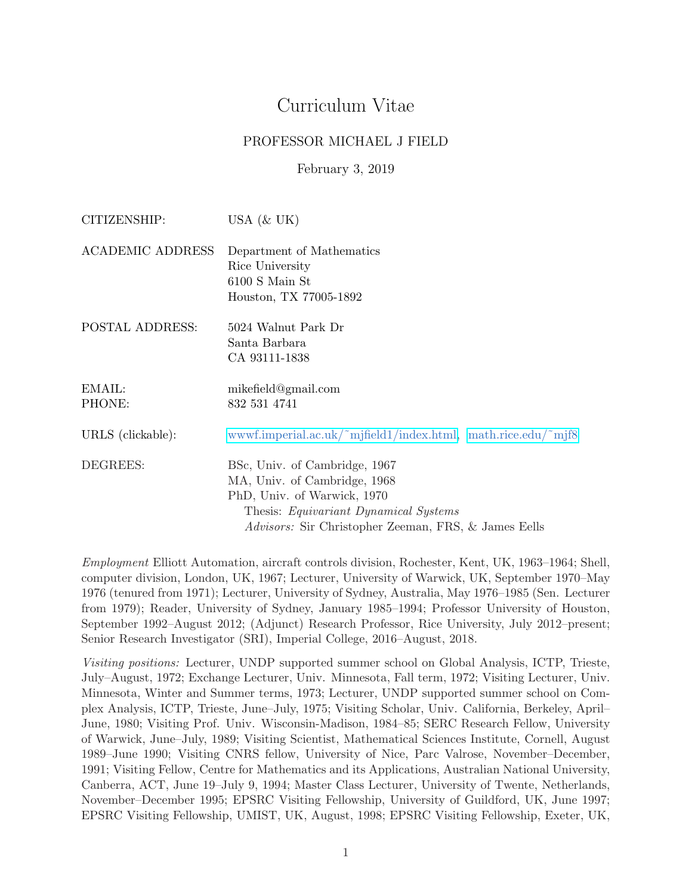# Curriculum Vitae

### PROFESSOR MICHAEL J FIELD

February 3, 2019

| CITIZENSHIP:            | USA $(\&$ UK)                                                                                                                                                                                               |
|-------------------------|-------------------------------------------------------------------------------------------------------------------------------------------------------------------------------------------------------------|
| <b>ACADEMIC ADDRESS</b> | Department of Mathematics<br>Rice University<br>6100 S Main St<br>Houston, TX 77005-1892                                                                                                                    |
| POSTAL ADDRESS:         | 5024 Walnut Park Dr<br>Santa Barbara<br>CA 93111-1838                                                                                                                                                       |
| EMAIL:<br>PHONE:        | mikefield@gmail.com<br>832 531 4741                                                                                                                                                                         |
| URLS (clickable):       | wwwf.imperial.ac.uk/~mjfield1/index.html, math.rice.edu/~mjf8                                                                                                                                               |
| DEGREES:                | BSc, Univ. of Cambridge, 1967<br>MA, Univ. of Cambridge, 1968<br>PhD, Univ. of Warwick, 1970<br>Thesis: <i>Equivariant Dynamical Systems</i><br><i>Advisors:</i> Sir Christopher Zeeman, FRS, & James Eells |

Employment Elliott Automation, aircraft controls division, Rochester, Kent, UK, 1963–1964; Shell, computer division, London, UK, 1967; Lecturer, University of Warwick, UK, September 1970–May 1976 (tenured from 1971); Lecturer, University of Sydney, Australia, May 1976–1985 (Sen. Lecturer from 1979); Reader, University of Sydney, January 1985–1994; Professor University of Houston, September 1992–August 2012; (Adjunct) Research Professor, Rice University, July 2012–present; Senior Research Investigator (SRI), Imperial College, 2016–August, 2018.

Visiting positions: Lecturer, UNDP supported summer school on Global Analysis, ICTP, Trieste, July–August, 1972; Exchange Lecturer, Univ. Minnesota, Fall term, 1972; Visiting Lecturer, Univ. Minnesota, Winter and Summer terms, 1973; Lecturer, UNDP supported summer school on Complex Analysis, ICTP, Trieste, June–July, 1975; Visiting Scholar, Univ. California, Berkeley, April– June, 1980; Visiting Prof. Univ. Wisconsin-Madison, 1984–85; SERC Research Fellow, University of Warwick, June–July, 1989; Visiting Scientist, Mathematical Sciences Institute, Cornell, August 1989–June 1990; Visiting CNRS fellow, University of Nice, Parc Valrose, November–December, 1991; Visiting Fellow, Centre for Mathematics and its Applications, Australian National University, Canberra, ACT, June 19–July 9, 1994; Master Class Lecturer, University of Twente, Netherlands, November–December 1995; EPSRC Visiting Fellowship, University of Guildford, UK, June 1997; EPSRC Visiting Fellowship, UMIST, UK, August, 1998; EPSRC Visiting Fellowship, Exeter, UK,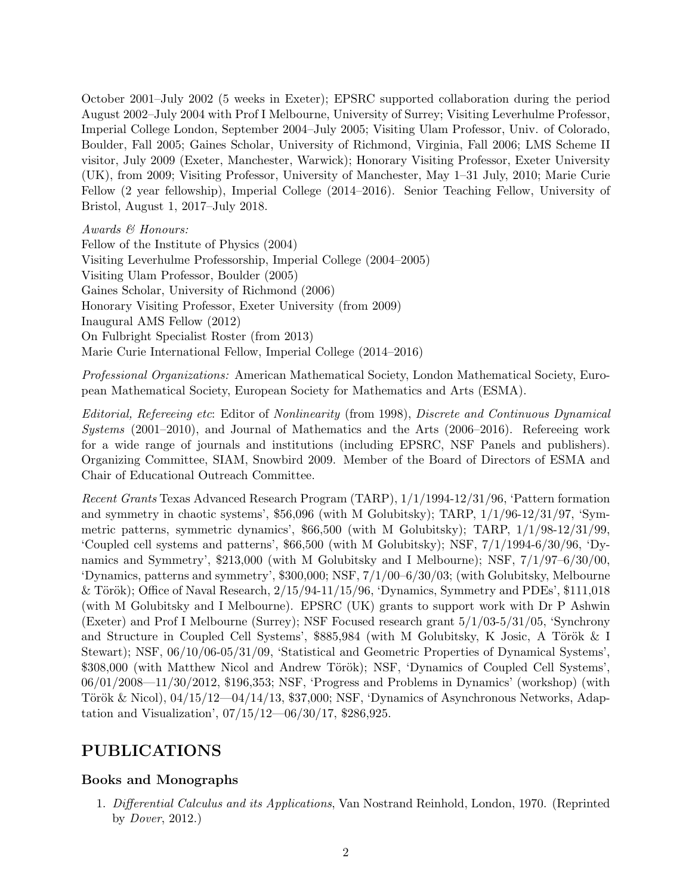October 2001–July 2002 (5 weeks in Exeter); EPSRC supported collaboration during the period August 2002–July 2004 with Prof I Melbourne, University of Surrey; Visiting Leverhulme Professor, Imperial College London, September 2004–July 2005; Visiting Ulam Professor, Univ. of Colorado, Boulder, Fall 2005; Gaines Scholar, University of Richmond, Virginia, Fall 2006; LMS Scheme II visitor, July 2009 (Exeter, Manchester, Warwick); Honorary Visiting Professor, Exeter University (UK), from 2009; Visiting Professor, University of Manchester, May 1–31 July, 2010; Marie Curie Fellow (2 year fellowship), Imperial College (2014–2016). Senior Teaching Fellow, University of Bristol, August 1, 2017–July 2018.

Awards & Honours:

Fellow of the Institute of Physics (2004) Visiting Leverhulme Professorship, Imperial College (2004–2005) Visiting Ulam Professor, Boulder (2005) Gaines Scholar, University of Richmond (2006) Honorary Visiting Professor, Exeter University (from 2009) Inaugural AMS Fellow (2012) On Fulbright Specialist Roster (from 2013) Marie Curie International Fellow, Imperial College (2014–2016)

Professional Organizations: American Mathematical Society, London Mathematical Society, European Mathematical Society, European Society for Mathematics and Arts (ESMA).

Editorial, Refereeing etc: Editor of Nonlinearity (from 1998), Discrete and Continuous Dynamical Systems (2001–2010), and Journal of Mathematics and the Arts (2006–2016). Refereeing work for a wide range of journals and institutions (including EPSRC, NSF Panels and publishers). Organizing Committee, SIAM, Snowbird 2009. Member of the Board of Directors of ESMA and Chair of Educational Outreach Committee.

Recent Grants Texas Advanced Research Program (TARP), 1/1/1994-12/31/96, 'Pattern formation and symmetry in chaotic systems', \$56,096 (with M Golubitsky); TARP, 1/1/96-12/31/97, 'Symmetric patterns, symmetric dynamics', \$66,500 (with M Golubitsky); TARP, 1/1/98-12/31/99, 'Coupled cell systems and patterns', \$66,500 (with M Golubitsky); NSF, 7/1/1994-6/30/96, 'Dynamics and Symmetry', \$213,000 (with M Golubitsky and I Melbourne); NSF, 7/1/97–6/30/00, 'Dynamics, patterns and symmetry', \$300,000; NSF, 7/1/00–6/30/03; (with Golubitsky, Melbourne & Török); Office of Naval Research,  $2/15/94-11/15/96$ , 'Dynamics, Symmetry and PDEs', \$111,018 (with M Golubitsky and I Melbourne). EPSRC (UK) grants to support work with Dr P Ashwin (Exeter) and Prof I Melbourne (Surrey); NSF Focused research grant 5/1/03-5/31/05, 'Synchrony and Structure in Coupled Cell Systems',  $$885,984$  (with M Golubitsky, K Josic, A Török & I Stewart); NSF, 06/10/06-05/31/09, 'Statistical and Geometric Properties of Dynamical Systems', \$308,000 (with Matthew Nicol and Andrew Török); NSF, 'Dynamics of Coupled Cell Systems', 06/01/2008—11/30/2012, \$196,353; NSF, 'Progress and Problems in Dynamics' (workshop) (with Török & Nicol),  $04/15/12$ — $04/14/13$ , \$37,000; NSF, 'Dynamics of Asynchronous Networks, Adaptation and Visualization', 07/15/12—06/30/17, \$286,925.

# PUBLICATIONS

## Books and Monographs

1. Differential Calculus and its Applications, Van Nostrand Reinhold, London, 1970. (Reprinted by Dover, 2012.)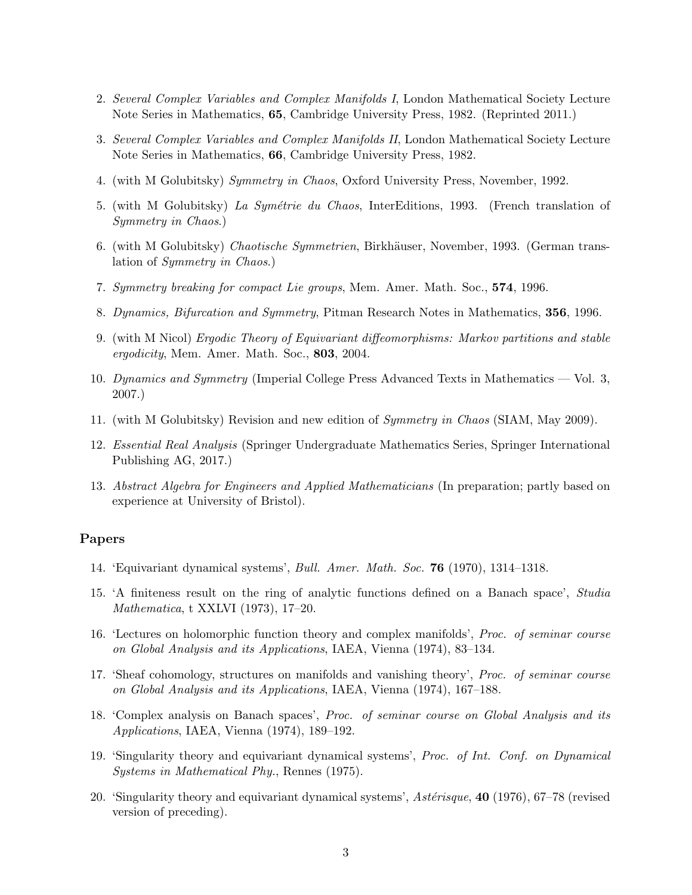- 2. Several Complex Variables and Complex Manifolds I, London Mathematical Society Lecture Note Series in Mathematics, 65, Cambridge University Press, 1982. (Reprinted 2011.)
- 3. Several Complex Variables and Complex Manifolds II, London Mathematical Society Lecture Note Series in Mathematics, 66, Cambridge University Press, 1982.
- 4. (with M Golubitsky) Symmetry in Chaos, Oxford University Press, November, 1992.
- 5. (with M Golubitsky) La Symétrie du Chaos, InterEditions, 1993. (French translation of Symmetry in Chaos.)
- 6. (with M Golubitsky) Chaotische Symmetrien, Birkhäuser, November, 1993. (German translation of Symmetry in Chaos.)
- 7. Symmetry breaking for compact Lie groups, Mem. Amer. Math. Soc., 574, 1996.
- 8. Dynamics, Bifurcation and Symmetry, Pitman Research Notes in Mathematics, 356, 1996.
- 9. (with M Nicol) Ergodic Theory of Equivariant diffeomorphisms: Markov partitions and stable ergodicity, Mem. Amer. Math. Soc., 803, 2004.
- 10. Dynamics and Symmetry (Imperial College Press Advanced Texts in Mathematics Vol. 3, 2007.)
- 11. (with M Golubitsky) Revision and new edition of Symmetry in Chaos (SIAM, May 2009).
- 12. Essential Real Analysis (Springer Undergraduate Mathematics Series, Springer International Publishing AG, 2017.)
- 13. Abstract Algebra for Engineers and Applied Mathematicians (In preparation; partly based on experience at University of Bristol).

#### Papers

- 14. 'Equivariant dynamical systems', Bull. Amer. Math. Soc. 76 (1970), 1314–1318.
- 15. 'A finiteness result on the ring of analytic functions defined on a Banach space', Studia Mathematica, t XXLVI (1973), 17–20.
- 16. 'Lectures on holomorphic function theory and complex manifolds', Proc. of seminar course on Global Analysis and its Applications, IAEA, Vienna (1974), 83–134.
- 17. 'Sheaf cohomology, structures on manifolds and vanishing theory', Proc. of seminar course on Global Analysis and its Applications, IAEA, Vienna (1974), 167–188.
- 18. 'Complex analysis on Banach spaces', Proc. of seminar course on Global Analysis and its Applications, IAEA, Vienna (1974), 189–192.
- 19. 'Singularity theory and equivariant dynamical systems', Proc. of Int. Conf. on Dynamical Systems in Mathematical Phy., Rennes (1975).
- 20. 'Singularity theory and equivariant dynamical systems',  $Ast\acute{e}risque$ ,  $40$  (1976), 67–78 (revised version of preceding).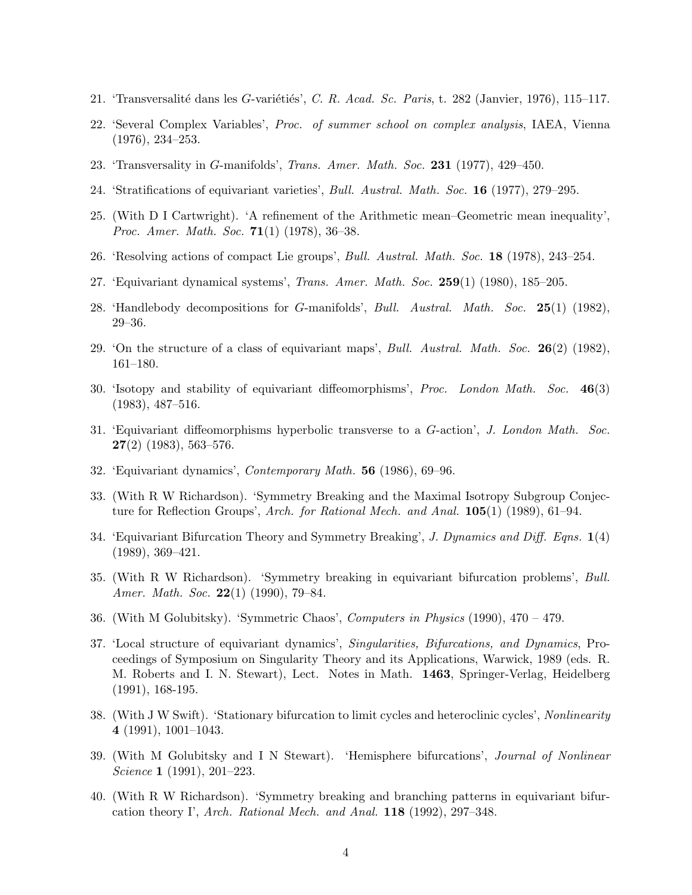- 21. 'Transversalité dans les G-variétiés', C. R. Acad. Sc. Paris, t. 282 (Janvier, 1976), 115–117.
- 22. 'Several Complex Variables', Proc. of summer school on complex analysis, IAEA, Vienna (1976), 234–253.
- 23. 'Transversality in G-manifolds', Trans. Amer. Math. Soc. 231 (1977), 429–450.
- 24. 'Stratifications of equivariant varieties', Bull. Austral. Math. Soc. 16 (1977), 279–295.
- 25. (With D I Cartwright). 'A refinement of the Arithmetic mean–Geometric mean inequality', *Proc. Amer. Math. Soc.* **71**(1) (1978), 36–38.
- 26. 'Resolving actions of compact Lie groups', Bull. Austral. Math. Soc. 18 (1978), 243–254.
- 27. 'Equivariant dynamical systems', Trans. Amer. Math. Soc. 259(1) (1980), 185–205.
- 28. 'Handlebody decompositions for G-manifolds', Bull. Austral. Math. Soc. 25(1) (1982), 29–36.
- 29. 'On the structure of a class of equivariant maps', Bull. Austral. Math. Soc.  $26(2)$  (1982), 161–180.
- 30. 'Isotopy and stability of equivariant diffeomorphisms', Proc. London Math. Soc. 46(3) (1983), 487–516.
- 31. 'Equivariant diffeomorphisms hyperbolic transverse to a G-action', J. London Math. Soc.  $27(2)$  (1983), 563-576.
- 32. 'Equivariant dynamics', Contemporary Math. 56 (1986), 69–96.
- 33. (With R W Richardson). 'Symmetry Breaking and the Maximal Isotropy Subgroup Conjecture for Reflection Groups', Arch. for Rational Mech. and Anal. 105(1) (1989), 61–94.
- 34. 'Equivariant Bifurcation Theory and Symmetry Breaking', J. Dynamics and Diff. Eqns.  $1(4)$ (1989), 369–421.
- 35. (With R W Richardson). 'Symmetry breaking in equivariant bifurcation problems', Bull. Amer. Math. Soc.  $22(1)$  (1990), 79–84.
- 36. (With M Golubitsky). 'Symmetric Chaos', Computers in Physics (1990), 470 479.
- 37. 'Local structure of equivariant dynamics', Singularities, Bifurcations, and Dynamics, Proceedings of Symposium on Singularity Theory and its Applications, Warwick, 1989 (eds. R. M. Roberts and I. N. Stewart), Lect. Notes in Math. 1463, Springer-Verlag, Heidelberg (1991), 168-195.
- 38. (With J W Swift). 'Stationary bifurcation to limit cycles and heteroclinic cycles', Nonlinearity 4 (1991), 1001–1043.
- 39. (With M Golubitsky and I N Stewart). 'Hemisphere bifurcations', Journal of Nonlinear Science 1 (1991), 201–223.
- 40. (With R W Richardson). 'Symmetry breaking and branching patterns in equivariant bifurcation theory  $\Gamma$ , Arch. Rational Mech. and Anal. **118** (1992), 297–348.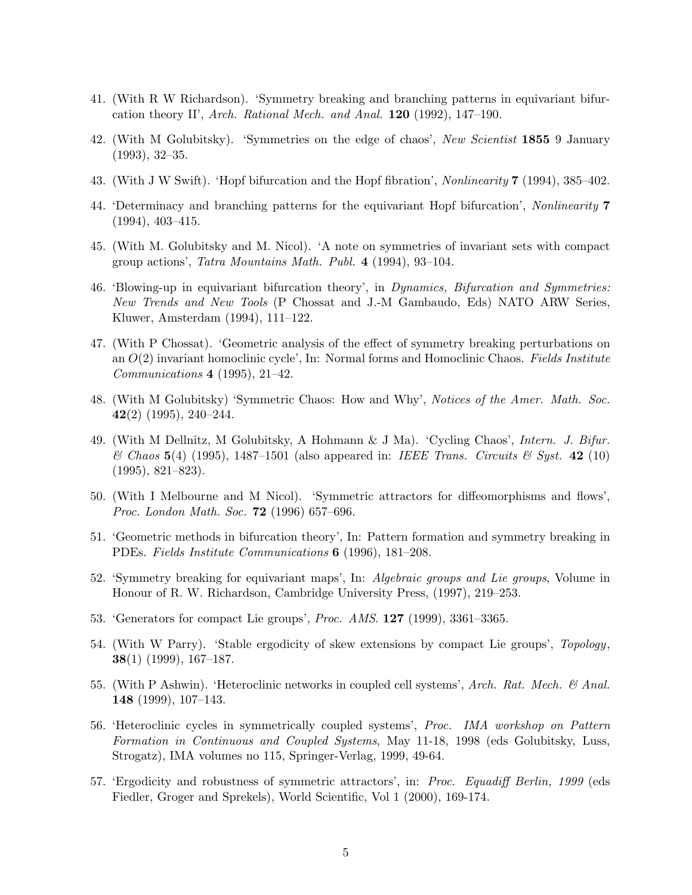- 41. (With R W Richardson). 'Symmetry breaking and branching patterns in equivariant bifurcation theory II', Arch. Rational Mech. and Anal. 120 (1992), 147–190.
- 42. (With M Golubitsky). 'Symmetries on the edge of chaos', New Scientist 1855 9 January (1993), 32–35.
- 43. (With J W Swift). 'Hopf bifurcation and the Hopf fibration', Nonlinearity 7 (1994), 385–402.
- 44. 'Determinacy and branching patterns for the equivariant Hopf bifurcation', Nonlinearity 7 (1994), 403–415.
- 45. (With M. Golubitsky and M. Nicol). 'A note on symmetries of invariant sets with compact group actions', Tatra Mountains Math. Publ. 4 (1994), 93–104.
- 46. 'Blowing-up in equivariant bifurcation theory', in Dynamics, Bifurcation and Symmetries: New Trends and New Tools (P Chossat and J.-M Gambaudo, Eds) NATO ARW Series, Kluwer, Amsterdam (1994), 111–122.
- 47. (With P Chossat). 'Geometric analysis of the effect of symmetry breaking perturbations on an  $O(2)$  invariant homoclinic cycle', In: Normal forms and Homoclinic Chaos. Fields Institute Communications 4 (1995), 21–42.
- 48. (With M Golubitsky) 'Symmetric Chaos: How and Why', Notices of the Amer. Math. Soc. 42(2) (1995), 240–244.
- 49. (With M Dellnitz, M Golubitsky, A Hohmann & J Ma). 'Cycling Chaos', Intern. J. Bifur.  $\mathscr$  Chaos 5(4) (1995), 1487–1501 (also appeared in: IEEE Trans. Circuits  $\mathscr$  Syst. 42 (10)  $(1995), 821-823).$
- 50. (With I Melbourne and M Nicol). 'Symmetric attractors for diffeomorphisms and flows', Proc. London Math. Soc. 72 (1996) 657–696.
- 51. 'Geometric methods in bifurcation theory', In: Pattern formation and symmetry breaking in PDEs. Fields Institute Communications 6 (1996), 181–208.
- 52. 'Symmetry breaking for equivariant maps', In: Algebraic groups and Lie groups, Volume in Honour of R. W. Richardson, Cambridge University Press, (1997), 219–253.
- 53. 'Generators for compact Lie groups', Proc. AMS. 127 (1999), 3361–3365.
- 54. (With W Parry). 'Stable ergodicity of skew extensions by compact Lie groups', Topology, 38(1) (1999), 167–187.
- 55. (With P Ashwin). 'Heteroclinic networks in coupled cell systems', Arch. Rat. Mech. & Anal. 148 (1999), 107–143.
- 56. 'Heteroclinic cycles in symmetrically coupled systems', Proc. IMA workshop on Pattern Formation in Continuous and Coupled Systems, May 11-18, 1998 (eds Golubitsky, Luss, Strogatz), IMA volumes no 115, Springer-Verlag, 1999, 49-64.
- 57. 'Ergodicity and robustness of symmetric attractors', in: Proc. Equadiff Berlin, 1999 (eds Fiedler, Groger and Sprekels), World Scientific, Vol 1 (2000), 169-174.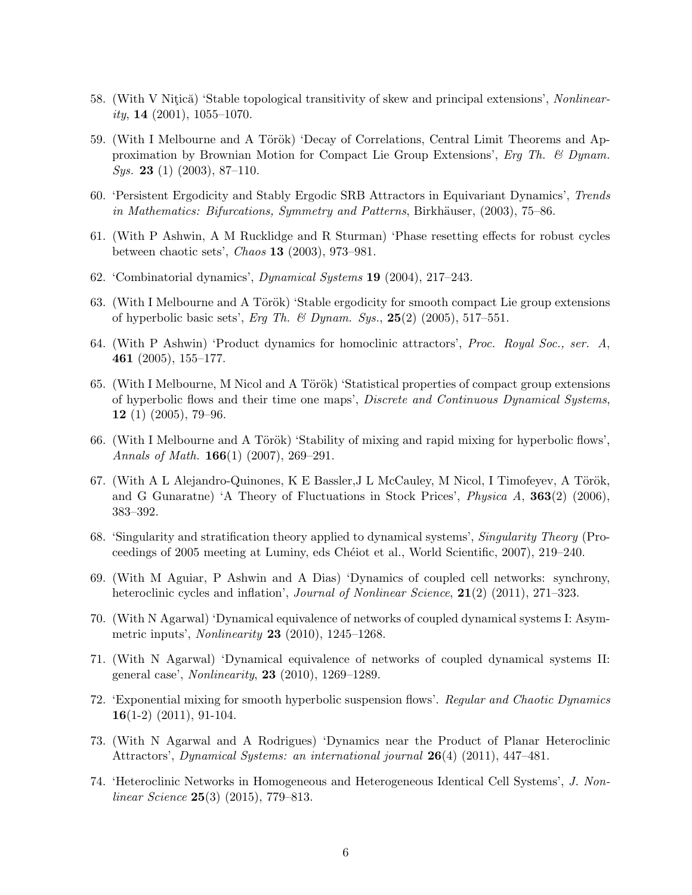- 58. (With V Nitică) 'Stable topological transitivity of skew and principal extensions', Nonlinearity, 14  $(2001)$ , 1055–1070.
- 59. (With I Melbourne and A Török) 'Decay of Correlations, Central Limit Theorems and Approximation by Brownian Motion for Compact Lie Group Extensions', Erg Th. & Dynam. *Sys.* **23** (1) (2003), 87–110.
- 60. 'Persistent Ergodicity and Stably Ergodic SRB Attractors in Equivariant Dynamics', Trends in Mathematics: Bifurcations, Symmetry and Patterns, Birkhäuser,  $(2003)$ , 75–86.
- 61. (With P Ashwin, A M Rucklidge and R Sturman) 'Phase resetting effects for robust cycles between chaotic sets', Chaos 13 (2003), 973–981.
- 62. 'Combinatorial dynamics', Dynamical Systems 19 (2004), 217–243.
- 63. (With I Melbourne and A Török) 'Stable ergodicity for smooth compact Lie group extensions of hyperbolic basic sets', Erg Th. & Dynam. Sys.,  $25(2)$  (2005), 517–551.
- 64. (With P Ashwin) 'Product dynamics for homoclinic attractors', Proc. Royal Soc., ser. A, 461 (2005), 155–177.
- 65. (With I Melbourne, M Nicol and A Török) 'Statistical properties of compact group extensions of hyperbolic flows and their time one maps', Discrete and Continuous Dynamical Systems, 12 (1) (2005), 79–96.
- 66. (With I Melbourne and A Török) 'Stability of mixing and rapid mixing for hyperbolic flows', Annals of Math.  $166(1)$  (2007), 269–291.
- 67. (With A L Alejandro-Quinones, K E Bassler, J L McCauley, M Nicol, I Timofeyev, A Török, and G Gunaratne) 'A Theory of Fluctuations in Stock Prices', Physica A, 363(2) (2006), 383–392.
- 68. 'Singularity and stratification theory applied to dynamical systems', Singularity Theory (Proceedings of 2005 meeting at Luminy, eds Chéiot et al., World Scientific, 2007), 219–240.
- 69. (With M Aguiar, P Ashwin and A Dias) 'Dynamics of coupled cell networks: synchrony, heteroclinic cycles and inflation', *Journal of Nonlinear Science*, **21**(2) (2011), 271–323.
- 70. (With N Agarwal) 'Dynamical equivalence of networks of coupled dynamical systems I: Asymmetric inputs', Nonlinearity 23 (2010), 1245–1268.
- 71. (With N Agarwal) 'Dynamical equivalence of networks of coupled dynamical systems II: general case', *Nonlinearity*, **23** (2010), 1269–1289.
- 72. 'Exponential mixing for smooth hyperbolic suspension flows'. Regular and Chaotic Dynamics  $16(1-2)$   $(2011)$ , 91-104.
- 73. (With N Agarwal and A Rodrigues) 'Dynamics near the Product of Planar Heteroclinic Attractors', Dynamical Systems: an international journal  $26(4)$  (2011), 447–481.
- 74. 'Heteroclinic Networks in Homogeneous and Heterogeneous Identical Cell Systems', J. Nonlinear Science  $25(3)$  (2015), 779–813.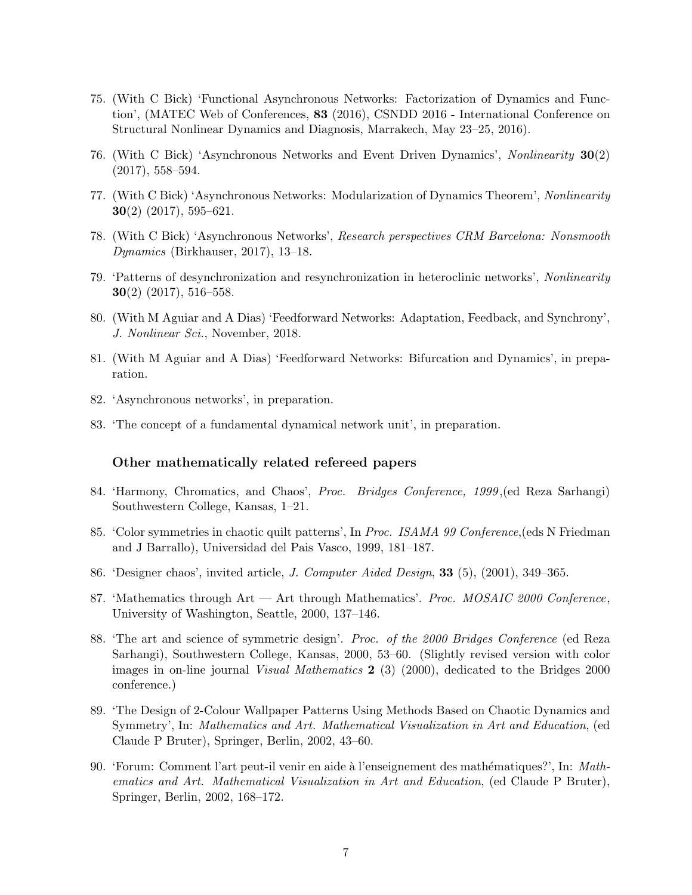- 75. (With C Bick) 'Functional Asynchronous Networks: Factorization of Dynamics and Function', (MATEC Web of Conferences, 83 (2016), CSNDD 2016 - International Conference on Structural Nonlinear Dynamics and Diagnosis, Marrakech, May 23–25, 2016).
- 76. (With C Bick) 'Asynchronous Networks and Event Driven Dynamics', Nonlinearity 30(2)  $(2017), 558 - 594.$
- 77. (With C Bick) 'Asynchronous Networks: Modularization of Dynamics Theorem', Nonlinearity **30**(2) (2017), 595–621.
- 78. (With C Bick) 'Asynchronous Networks', Research perspectives CRM Barcelona: Nonsmooth Dynamics (Birkhauser, 2017), 13–18.
- 79. 'Patterns of desynchronization and resynchronization in heteroclinic networks', Nonlinearity 30(2) (2017), 516–558.
- 80. (With M Aguiar and A Dias) 'Feedforward Networks: Adaptation, Feedback, and Synchrony', J. Nonlinear Sci., November, 2018.
- 81. (With M Aguiar and A Dias) 'Feedforward Networks: Bifurcation and Dynamics', in preparation.
- 82. 'Asynchronous networks', in preparation.
- 83. 'The concept of a fundamental dynamical network unit', in preparation.

#### Other mathematically related refereed papers

- 84. 'Harmony, Chromatics, and Chaos', Proc. Bridges Conference, 1999 ,(ed Reza Sarhangi) Southwestern College, Kansas, 1–21.
- 85. 'Color symmetries in chaotic quilt patterns', In Proc. ISAMA 99 Conference, (eds N Friedman and J Barrallo), Universidad del Pais Vasco, 1999, 181–187.
- 86. 'Designer chaos', invited article, J. Computer Aided Design, 33 (5), (2001), 349–365.
- 87. 'Mathematics through  $Art Art$  through Mathematics'. *Proc. MOSAIC 2000 Conference*, University of Washington, Seattle, 2000, 137–146.
- 88. 'The art and science of symmetric design'. Proc. of the 2000 Bridges Conference (ed Reza Sarhangi), Southwestern College, Kansas, 2000, 53–60. (Slightly revised version with color images in on-line journal Visual Mathematics 2 (3) (2000), dedicated to the Bridges 2000 conference.)
- 89. 'The Design of 2-Colour Wallpaper Patterns Using Methods Based on Chaotic Dynamics and Symmetry', In: Mathematics and Art. Mathematical Visualization in Art and Education, (ed Claude P Bruter), Springer, Berlin, 2002, 43–60.
- 90. 'Forum: Comment l'art peut-il venir en aide à l'enseignement des mathématiques?', In: Mathematics and Art. Mathematical Visualization in Art and Education, (ed Claude P Bruter), Springer, Berlin, 2002, 168–172.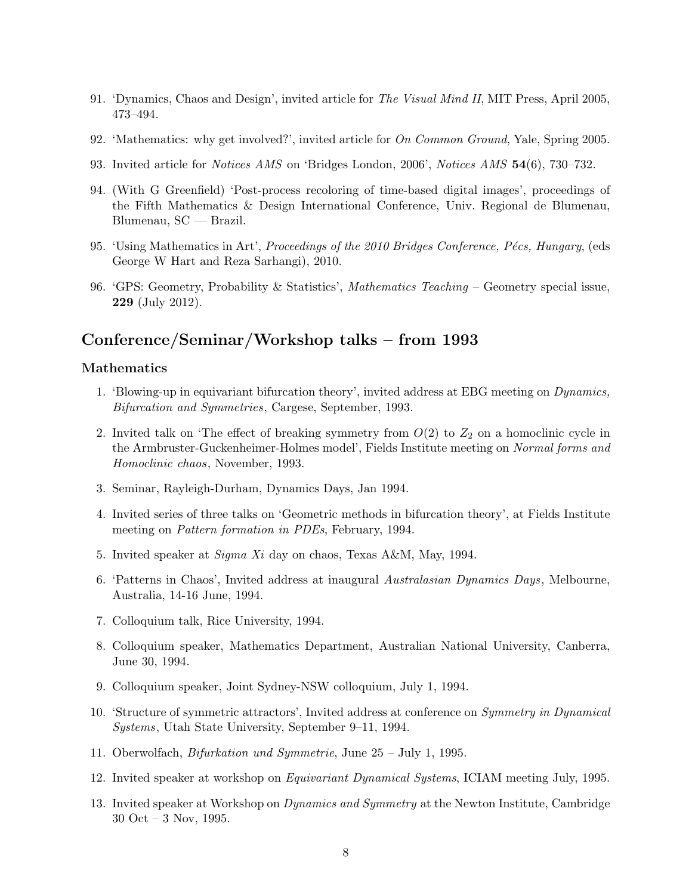- 91. 'Dynamics, Chaos and Design', invited article for The Visual Mind II, MIT Press, April 2005, 473–494.
- 92. 'Mathematics: why get involved?', invited article for On Common Ground, Yale, Spring 2005.
- 93. Invited article for Notices AMS on 'Bridges London, 2006', Notices AMS 54(6), 730–732.
- 94. (With G Greenfield) 'Post-process recoloring of time-based digital images', proceedings of the Fifth Mathematics & Design International Conference, Univ. Regional de Blumenau, Blumenau, SC — Brazil.
- 95. 'Using Mathematics in Art', *Proceedings of the 2010 Bridges Conference, Pécs, Hungary*, (eds George W Hart and Reza Sarhangi), 2010.
- 96. 'GPS: Geometry, Probability & Statistics', Mathematics Teaching Geometry special issue, 229 (July 2012).

## Conference/Seminar/Workshop talks – from 1993

### Mathematics

- 1. 'Blowing-up in equivariant bifurcation theory', invited address at EBG meeting on Dynamics, Bifurcation and Symmetries, Cargese, September, 1993.
- 2. Invited talk on 'The effect of breaking symmetry from  $O(2)$  to  $Z_2$  on a homoclinic cycle in the Armbruster-Guckenheimer-Holmes model', Fields Institute meeting on Normal forms and Homoclinic chaos, November, 1993.
- 3. Seminar, Rayleigh-Durham, Dynamics Days, Jan 1994.
- 4. Invited series of three talks on 'Geometric methods in bifurcation theory', at Fields Institute meeting on Pattern formation in PDEs, February, 1994.
- 5. Invited speaker at Sigma Xi day on chaos, Texas A&M, May, 1994.
- 6. 'Patterns in Chaos', Invited address at inaugural Australasian Dynamics Days, Melbourne, Australia, 14-16 June, 1994.
- 7. Colloquium talk, Rice University, 1994.
- 8. Colloquium speaker, Mathematics Department, Australian National University, Canberra, June 30, 1994.
- 9. Colloquium speaker, Joint Sydney-NSW colloquium, July 1, 1994.
- 10. 'Structure of symmetric attractors', Invited address at conference on Symmetry in Dynamical Systems, Utah State University, September 9–11, 1994.
- 11. Oberwolfach, Bifurkation und Symmetrie, June 25 July 1, 1995.
- 12. Invited speaker at workshop on Equivariant Dynamical Systems, ICIAM meeting July, 1995.
- 13. Invited speaker at Workshop on Dynamics and Symmetry at the Newton Institute, Cambridge 30 Oct – 3 Nov, 1995.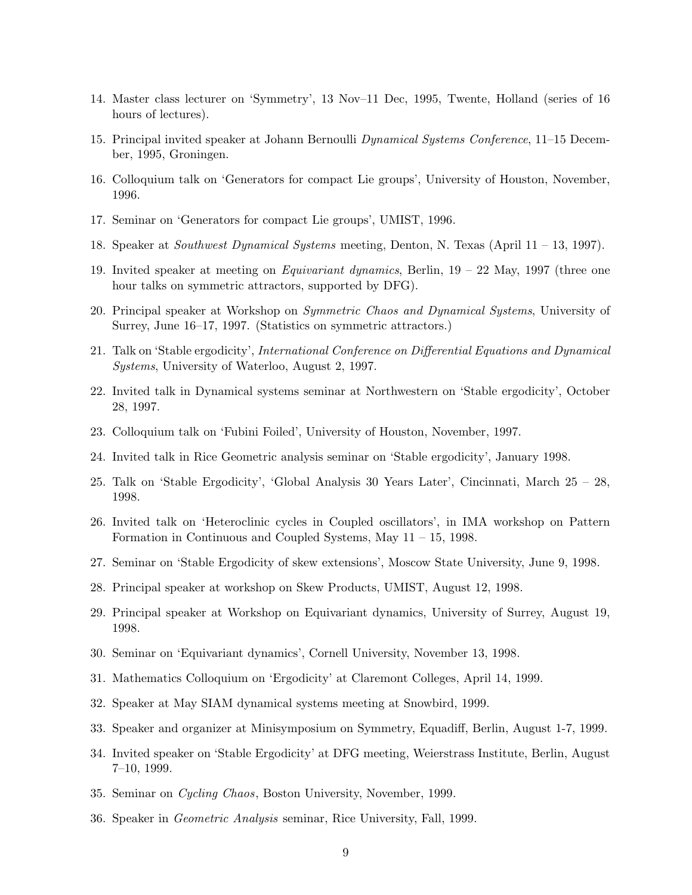- 14. Master class lecturer on 'Symmetry', 13 Nov–11 Dec, 1995, Twente, Holland (series of 16 hours of lectures).
- 15. Principal invited speaker at Johann Bernoulli Dynamical Systems Conference, 11–15 December, 1995, Groningen.
- 16. Colloquium talk on 'Generators for compact Lie groups', University of Houston, November, 1996.
- 17. Seminar on 'Generators for compact Lie groups', UMIST, 1996.
- 18. Speaker at Southwest Dynamical Systems meeting, Denton, N. Texas (April 11 13, 1997).
- 19. Invited speaker at meeting on Equivariant dynamics, Berlin, 19 22 May, 1997 (three one hour talks on symmetric attractors, supported by DFG).
- 20. Principal speaker at Workshop on Symmetric Chaos and Dynamical Systems, University of Surrey, June 16–17, 1997. (Statistics on symmetric attractors.)
- 21. Talk on 'Stable ergodicity', International Conference on Differential Equations and Dynamical Systems, University of Waterloo, August 2, 1997.
- 22. Invited talk in Dynamical systems seminar at Northwestern on 'Stable ergodicity', October 28, 1997.
- 23. Colloquium talk on 'Fubini Foiled', University of Houston, November, 1997.
- 24. Invited talk in Rice Geometric analysis seminar on 'Stable ergodicity', January 1998.
- 25. Talk on 'Stable Ergodicity', 'Global Analysis 30 Years Later', Cincinnati, March 25 28, 1998.
- 26. Invited talk on 'Heteroclinic cycles in Coupled oscillators', in IMA workshop on Pattern Formation in Continuous and Coupled Systems, May 11 – 15, 1998.
- 27. Seminar on 'Stable Ergodicity of skew extensions', Moscow State University, June 9, 1998.
- 28. Principal speaker at workshop on Skew Products, UMIST, August 12, 1998.
- 29. Principal speaker at Workshop on Equivariant dynamics, University of Surrey, August 19, 1998.
- 30. Seminar on 'Equivariant dynamics', Cornell University, November 13, 1998.
- 31. Mathematics Colloquium on 'Ergodicity' at Claremont Colleges, April 14, 1999.
- 32. Speaker at May SIAM dynamical systems meeting at Snowbird, 1999.
- 33. Speaker and organizer at Minisymposium on Symmetry, Equadiff, Berlin, August 1-7, 1999.
- 34. Invited speaker on 'Stable Ergodicity' at DFG meeting, Weierstrass Institute, Berlin, August 7–10, 1999.
- 35. Seminar on Cycling Chaos, Boston University, November, 1999.
- 36. Speaker in Geometric Analysis seminar, Rice University, Fall, 1999.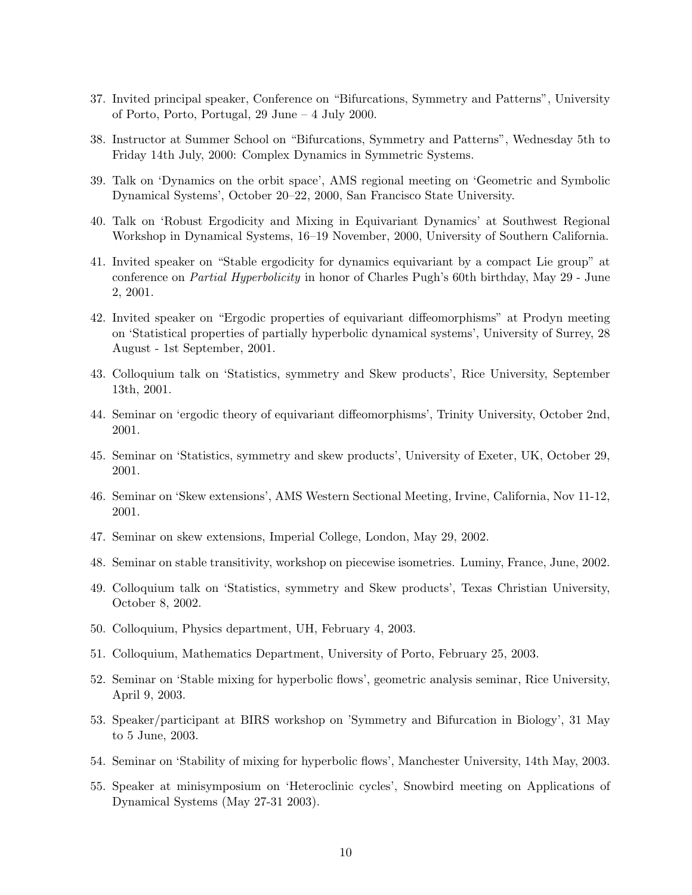- 37. Invited principal speaker, Conference on "Bifurcations, Symmetry and Patterns", University of Porto, Porto, Portugal, 29 June – 4 July 2000.
- 38. Instructor at Summer School on "Bifurcations, Symmetry and Patterns", Wednesday 5th to Friday 14th July, 2000: Complex Dynamics in Symmetric Systems.
- 39. Talk on 'Dynamics on the orbit space', AMS regional meeting on 'Geometric and Symbolic Dynamical Systems', October 20–22, 2000, San Francisco State University.
- 40. Talk on 'Robust Ergodicity and Mixing in Equivariant Dynamics' at Southwest Regional Workshop in Dynamical Systems, 16–19 November, 2000, University of Southern California.
- 41. Invited speaker on "Stable ergodicity for dynamics equivariant by a compact Lie group" at conference on Partial Hyperbolicity in honor of Charles Pugh's 60th birthday, May 29 - June 2, 2001.
- 42. Invited speaker on "Ergodic properties of equivariant diffeomorphisms" at Prodyn meeting on 'Statistical properties of partially hyperbolic dynamical systems', University of Surrey, 28 August - 1st September, 2001.
- 43. Colloquium talk on 'Statistics, symmetry and Skew products', Rice University, September 13th, 2001.
- 44. Seminar on 'ergodic theory of equivariant diffeomorphisms', Trinity University, October 2nd, 2001.
- 45. Seminar on 'Statistics, symmetry and skew products', University of Exeter, UK, October 29, 2001.
- 46. Seminar on 'Skew extensions', AMS Western Sectional Meeting, Irvine, California, Nov 11-12, 2001.
- 47. Seminar on skew extensions, Imperial College, London, May 29, 2002.
- 48. Seminar on stable transitivity, workshop on piecewise isometries. Luminy, France, June, 2002.
- 49. Colloquium talk on 'Statistics, symmetry and Skew products', Texas Christian University, October 8, 2002.
- 50. Colloquium, Physics department, UH, February 4, 2003.
- 51. Colloquium, Mathematics Department, University of Porto, February 25, 2003.
- 52. Seminar on 'Stable mixing for hyperbolic flows', geometric analysis seminar, Rice University, April 9, 2003.
- 53. Speaker/participant at BIRS workshop on 'Symmetry and Bifurcation in Biology', 31 May to 5 June, 2003.
- 54. Seminar on 'Stability of mixing for hyperbolic flows', Manchester University, 14th May, 2003.
- 55. Speaker at minisymposium on 'Heteroclinic cycles', Snowbird meeting on Applications of Dynamical Systems (May 27-31 2003).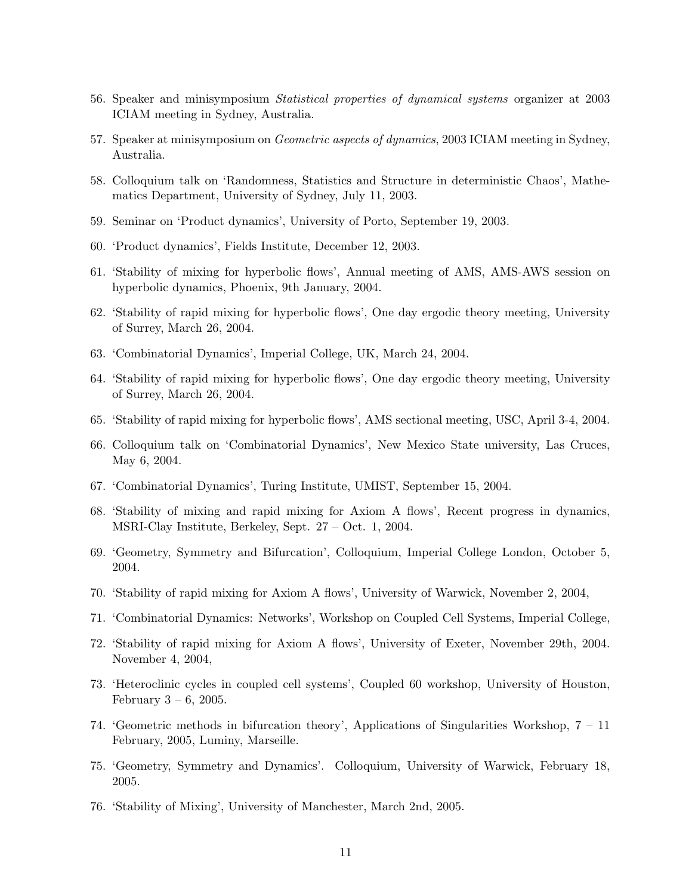- 56. Speaker and minisymposium Statistical properties of dynamical systems organizer at 2003 ICIAM meeting in Sydney, Australia.
- 57. Speaker at minisymposium on Geometric aspects of dynamics, 2003 ICIAM meeting in Sydney, Australia.
- 58. Colloquium talk on 'Randomness, Statistics and Structure in deterministic Chaos', Mathematics Department, University of Sydney, July 11, 2003.
- 59. Seminar on 'Product dynamics', University of Porto, September 19, 2003.
- 60. 'Product dynamics', Fields Institute, December 12, 2003.
- 61. 'Stability of mixing for hyperbolic flows', Annual meeting of AMS, AMS-AWS session on hyperbolic dynamics, Phoenix, 9th January, 2004.
- 62. 'Stability of rapid mixing for hyperbolic flows', One day ergodic theory meeting, University of Surrey, March 26, 2004.
- 63. 'Combinatorial Dynamics', Imperial College, UK, March 24, 2004.
- 64. 'Stability of rapid mixing for hyperbolic flows', One day ergodic theory meeting, University of Surrey, March 26, 2004.
- 65. 'Stability of rapid mixing for hyperbolic flows', AMS sectional meeting, USC, April 3-4, 2004.
- 66. Colloquium talk on 'Combinatorial Dynamics', New Mexico State university, Las Cruces, May 6, 2004.
- 67. 'Combinatorial Dynamics', Turing Institute, UMIST, September 15, 2004.
- 68. 'Stability of mixing and rapid mixing for Axiom A flows', Recent progress in dynamics, MSRI-Clay Institute, Berkeley, Sept. 27 – Oct. 1, 2004.
- 69. 'Geometry, Symmetry and Bifurcation', Colloquium, Imperial College London, October 5, 2004.
- 70. 'Stability of rapid mixing for Axiom A flows', University of Warwick, November 2, 2004,
- 71. 'Combinatorial Dynamics: Networks', Workshop on Coupled Cell Systems, Imperial College,
- 72. 'Stability of rapid mixing for Axiom A flows', University of Exeter, November 29th, 2004. November 4, 2004,
- 73. 'Heteroclinic cycles in coupled cell systems', Coupled 60 workshop, University of Houston, February  $3 - 6$ , 2005.
- 74. 'Geometric methods in bifurcation theory', Applications of Singularities Workshop, 7 11 February, 2005, Luminy, Marseille.
- 75. 'Geometry, Symmetry and Dynamics'. Colloquium, University of Warwick, February 18, 2005.
- 76. 'Stability of Mixing', University of Manchester, March 2nd, 2005.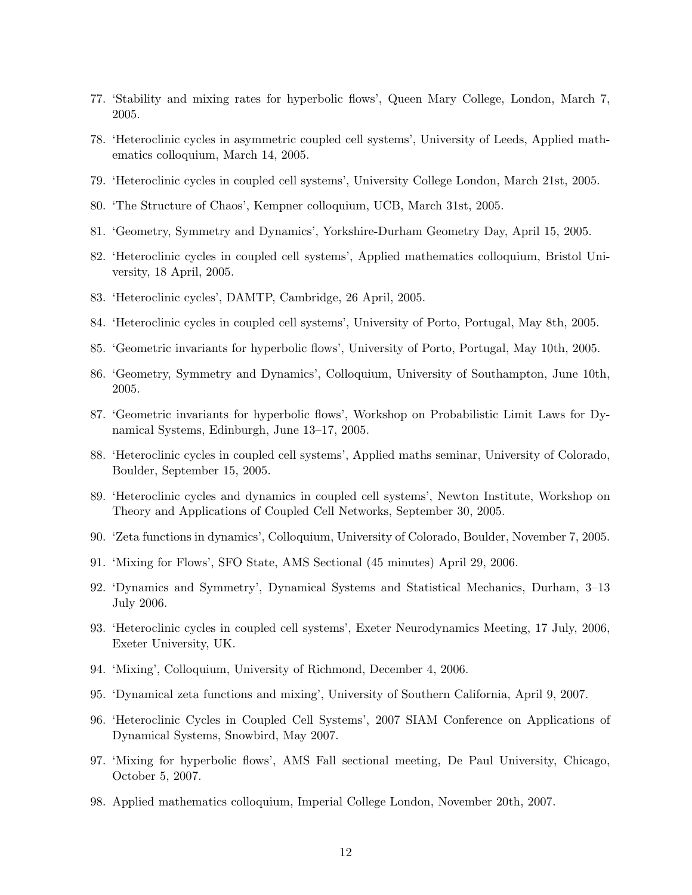- 77. 'Stability and mixing rates for hyperbolic flows', Queen Mary College, London, March 7, 2005.
- 78. 'Heteroclinic cycles in asymmetric coupled cell systems', University of Leeds, Applied mathematics colloquium, March 14, 2005.
- 79. 'Heteroclinic cycles in coupled cell systems', University College London, March 21st, 2005.
- 80. 'The Structure of Chaos', Kempner colloquium, UCB, March 31st, 2005.
- 81. 'Geometry, Symmetry and Dynamics', Yorkshire-Durham Geometry Day, April 15, 2005.
- 82. 'Heteroclinic cycles in coupled cell systems', Applied mathematics colloquium, Bristol University, 18 April, 2005.
- 83. 'Heteroclinic cycles', DAMTP, Cambridge, 26 April, 2005.
- 84. 'Heteroclinic cycles in coupled cell systems', University of Porto, Portugal, May 8th, 2005.
- 85. 'Geometric invariants for hyperbolic flows', University of Porto, Portugal, May 10th, 2005.
- 86. 'Geometry, Symmetry and Dynamics', Colloquium, University of Southampton, June 10th, 2005.
- 87. 'Geometric invariants for hyperbolic flows', Workshop on Probabilistic Limit Laws for Dynamical Systems, Edinburgh, June 13–17, 2005.
- 88. 'Heteroclinic cycles in coupled cell systems', Applied maths seminar, University of Colorado, Boulder, September 15, 2005.
- 89. 'Heteroclinic cycles and dynamics in coupled cell systems', Newton Institute, Workshop on Theory and Applications of Coupled Cell Networks, September 30, 2005.
- 90. 'Zeta functions in dynamics', Colloquium, University of Colorado, Boulder, November 7, 2005.
- 91. 'Mixing for Flows', SFO State, AMS Sectional (45 minutes) April 29, 2006.
- 92. 'Dynamics and Symmetry', Dynamical Systems and Statistical Mechanics, Durham, 3–13 July 2006.
- 93. 'Heteroclinic cycles in coupled cell systems', Exeter Neurodynamics Meeting, 17 July, 2006, Exeter University, UK.
- 94. 'Mixing', Colloquium, University of Richmond, December 4, 2006.
- 95. 'Dynamical zeta functions and mixing', University of Southern California, April 9, 2007.
- 96. 'Heteroclinic Cycles in Coupled Cell Systems', 2007 SIAM Conference on Applications of Dynamical Systems, Snowbird, May 2007.
- 97. 'Mixing for hyperbolic flows', AMS Fall sectional meeting, De Paul University, Chicago, October 5, 2007.
- 98. Applied mathematics colloquium, Imperial College London, November 20th, 2007.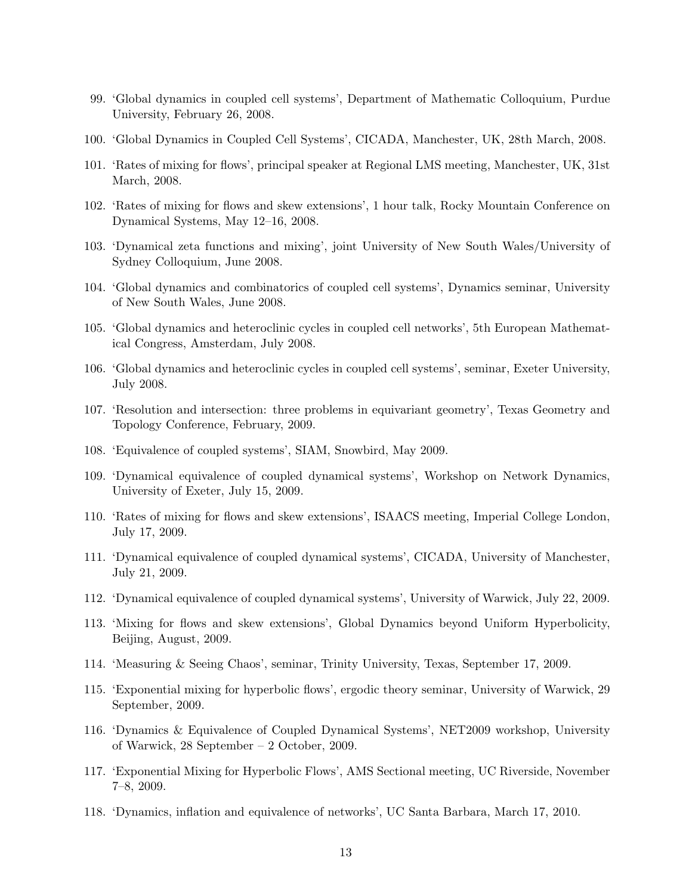- 99. 'Global dynamics in coupled cell systems', Department of Mathematic Colloquium, Purdue University, February 26, 2008.
- 100. 'Global Dynamics in Coupled Cell Systems', CICADA, Manchester, UK, 28th March, 2008.
- 101. 'Rates of mixing for flows', principal speaker at Regional LMS meeting, Manchester, UK, 31st March, 2008.
- 102. 'Rates of mixing for flows and skew extensions', 1 hour talk, Rocky Mountain Conference on Dynamical Systems, May 12–16, 2008.
- 103. 'Dynamical zeta functions and mixing', joint University of New South Wales/University of Sydney Colloquium, June 2008.
- 104. 'Global dynamics and combinatorics of coupled cell systems', Dynamics seminar, University of New South Wales, June 2008.
- 105. 'Global dynamics and heteroclinic cycles in coupled cell networks', 5th European Mathematical Congress, Amsterdam, July 2008.
- 106. 'Global dynamics and heteroclinic cycles in coupled cell systems', seminar, Exeter University, July 2008.
- 107. 'Resolution and intersection: three problems in equivariant geometry', Texas Geometry and Topology Conference, February, 2009.
- 108. 'Equivalence of coupled systems', SIAM, Snowbird, May 2009.
- 109. 'Dynamical equivalence of coupled dynamical systems', Workshop on Network Dynamics, University of Exeter, July 15, 2009.
- 110. 'Rates of mixing for flows and skew extensions', ISAACS meeting, Imperial College London, July 17, 2009.
- 111. 'Dynamical equivalence of coupled dynamical systems', CICADA, University of Manchester, July 21, 2009.
- 112. 'Dynamical equivalence of coupled dynamical systems', University of Warwick, July 22, 2009.
- 113. 'Mixing for flows and skew extensions', Global Dynamics beyond Uniform Hyperbolicity, Beijing, August, 2009.
- 114. 'Measuring & Seeing Chaos', seminar, Trinity University, Texas, September 17, 2009.
- 115. 'Exponential mixing for hyperbolic flows', ergodic theory seminar, University of Warwick, 29 September, 2009.
- 116. 'Dynamics & Equivalence of Coupled Dynamical Systems', NET2009 workshop, University of Warwick, 28 September – 2 October, 2009.
- 117. 'Exponential Mixing for Hyperbolic Flows', AMS Sectional meeting, UC Riverside, November 7–8, 2009.
- 118. 'Dynamics, inflation and equivalence of networks', UC Santa Barbara, March 17, 2010.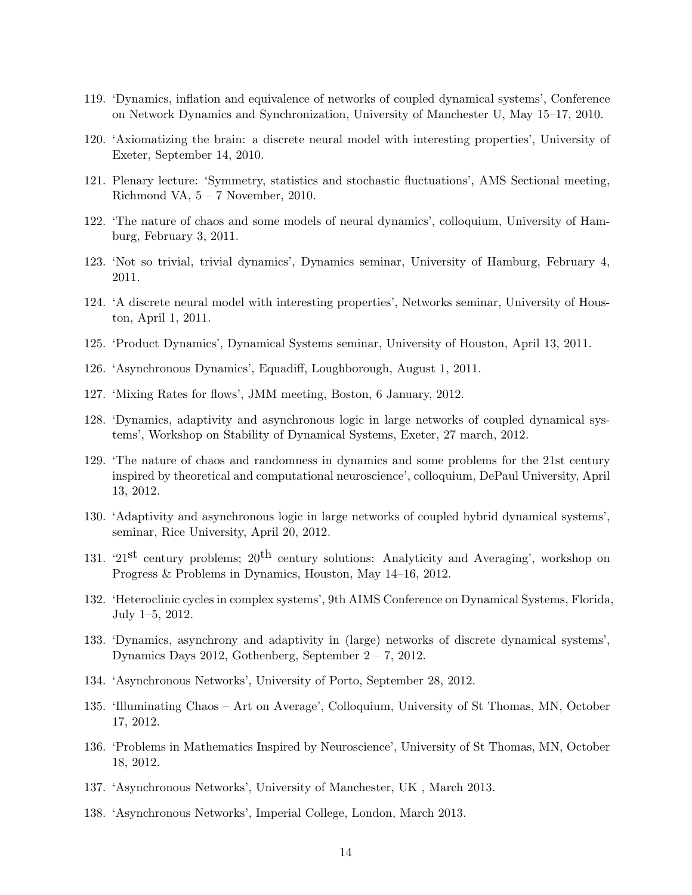- 119. 'Dynamics, inflation and equivalence of networks of coupled dynamical systems', Conference on Network Dynamics and Synchronization, University of Manchester U, May 15–17, 2010.
- 120. 'Axiomatizing the brain: a discrete neural model with interesting properties', University of Exeter, September 14, 2010.
- 121. Plenary lecture: 'Symmetry, statistics and stochastic fluctuations', AMS Sectional meeting, Richmond VA,  $5 - 7$  November, 2010.
- 122. 'The nature of chaos and some models of neural dynamics', colloquium, University of Hamburg, February 3, 2011.
- 123. 'Not so trivial, trivial dynamics', Dynamics seminar, University of Hamburg, February 4, 2011.
- 124. 'A discrete neural model with interesting properties', Networks seminar, University of Houston, April 1, 2011.
- 125. 'Product Dynamics', Dynamical Systems seminar, University of Houston, April 13, 2011.
- 126. 'Asynchronous Dynamics', Equadiff, Loughborough, August 1, 2011.
- 127. 'Mixing Rates for flows', JMM meeting, Boston, 6 January, 2012.
- 128. 'Dynamics, adaptivity and asynchronous logic in large networks of coupled dynamical systems', Workshop on Stability of Dynamical Systems, Exeter, 27 march, 2012.
- 129. 'The nature of chaos and randomness in dynamics and some problems for the 21st century inspired by theoretical and computational neuroscience', colloquium, DePaul University, April 13, 2012.
- 130. 'Adaptivity and asynchronous logic in large networks of coupled hybrid dynamical systems', seminar, Rice University, April 20, 2012.
- 131. '21<sup>st</sup> century problems;  $20<sup>th</sup>$  century solutions: Analyticity and Averaging', workshop on Progress & Problems in Dynamics, Houston, May 14–16, 2012.
- 132. 'Heteroclinic cycles in complex systems', 9th AIMS Conference on Dynamical Systems, Florida, July 1–5, 2012.
- 133. 'Dynamics, asynchrony and adaptivity in (large) networks of discrete dynamical systems', Dynamics Days 2012, Gothenberg, September 2 – 7, 2012.
- 134. 'Asynchronous Networks', University of Porto, September 28, 2012.
- 135. 'Illuminating Chaos Art on Average', Colloquium, University of St Thomas, MN, October 17, 2012.
- 136. 'Problems in Mathematics Inspired by Neuroscience', University of St Thomas, MN, October 18, 2012.
- 137. 'Asynchronous Networks', University of Manchester, UK , March 2013.
- 138. 'Asynchronous Networks', Imperial College, London, March 2013.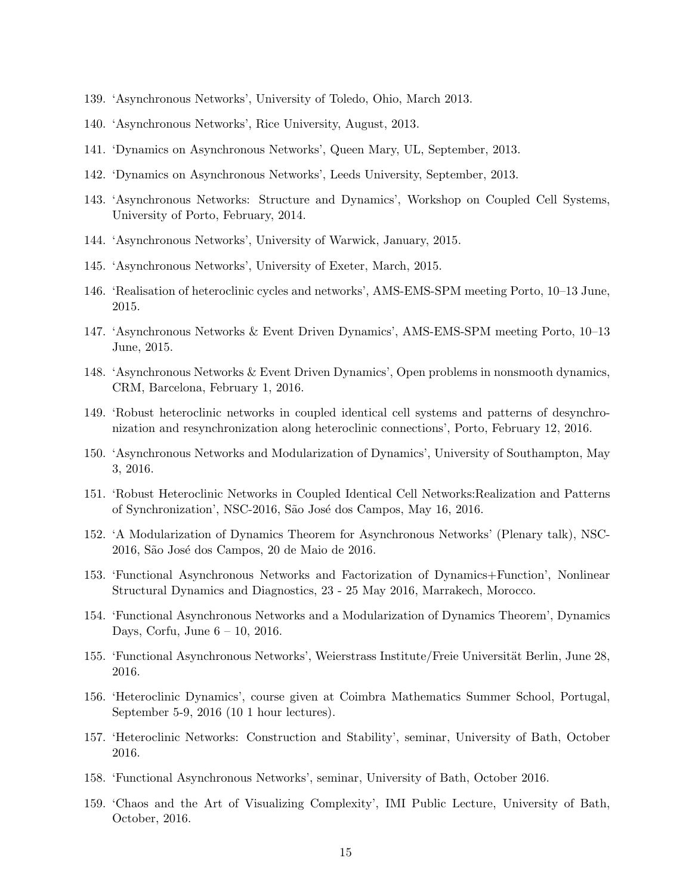- 139. 'Asynchronous Networks', University of Toledo, Ohio, March 2013.
- 140. 'Asynchronous Networks', Rice University, August, 2013.
- 141. 'Dynamics on Asynchronous Networks', Queen Mary, UL, September, 2013.
- 142. 'Dynamics on Asynchronous Networks', Leeds University, September, 2013.
- 143. 'Asynchronous Networks: Structure and Dynamics', Workshop on Coupled Cell Systems, University of Porto, February, 2014.
- 144. 'Asynchronous Networks', University of Warwick, January, 2015.
- 145. 'Asynchronous Networks', University of Exeter, March, 2015.
- 146. 'Realisation of heteroclinic cycles and networks', AMS-EMS-SPM meeting Porto, 10–13 June, 2015.
- 147. 'Asynchronous Networks & Event Driven Dynamics', AMS-EMS-SPM meeting Porto, 10–13 June, 2015.
- 148. 'Asynchronous Networks & Event Driven Dynamics', Open problems in nonsmooth dynamics, CRM, Barcelona, February 1, 2016.
- 149. 'Robust heteroclinic networks in coupled identical cell systems and patterns of desynchronization and resynchronization along heteroclinic connections', Porto, February 12, 2016.
- 150. 'Asynchronous Networks and Modularization of Dynamics', University of Southampton, May 3, 2016.
- 151. 'Robust Heteroclinic Networks in Coupled Identical Cell Networks:Realization and Patterns of Synchronization', NSC-2016, São José dos Campos, May 16, 2016.
- 152. 'A Modularization of Dynamics Theorem for Asynchronous Networks' (Plenary talk), NSC-2016, São José dos Campos, 20 de Maio de 2016.
- 153. 'Functional Asynchronous Networks and Factorization of Dynamics+Function', Nonlinear Structural Dynamics and Diagnostics, 23 - 25 May 2016, Marrakech, Morocco.
- 154. 'Functional Asynchronous Networks and a Modularization of Dynamics Theorem', Dynamics Days, Corfu, June 6 – 10, 2016.
- 155. 'Functional Asynchronous Networks', Weierstrass Institute/Freie Universität Berlin, June 28, 2016.
- 156. 'Heteroclinic Dynamics', course given at Coimbra Mathematics Summer School, Portugal, September 5-9, 2016 (10 1 hour lectures).
- 157. 'Heteroclinic Networks: Construction and Stability', seminar, University of Bath, October 2016.
- 158. 'Functional Asynchronous Networks', seminar, University of Bath, October 2016.
- 159. 'Chaos and the Art of Visualizing Complexity', IMI Public Lecture, University of Bath, October, 2016.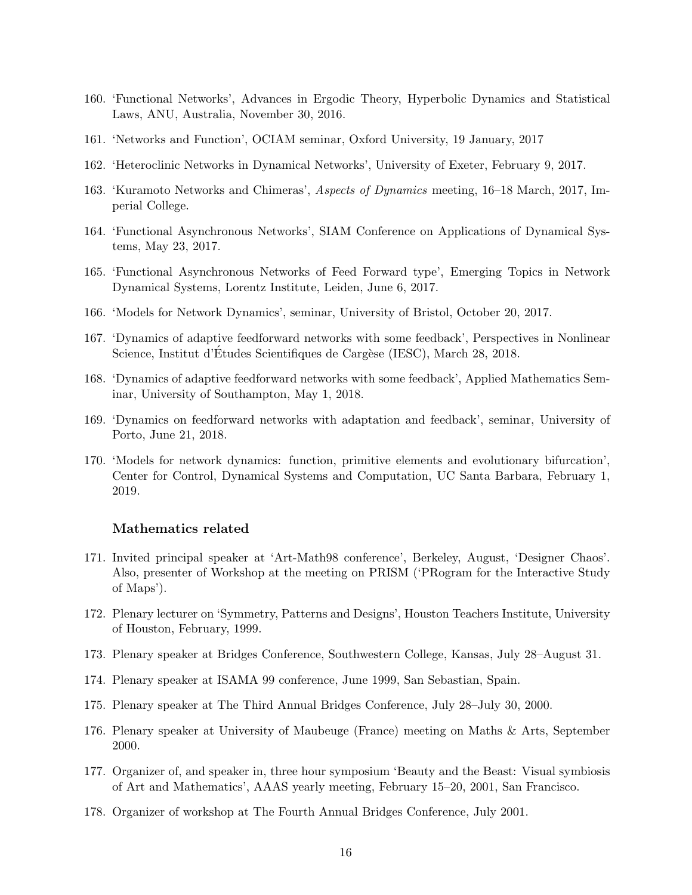- 160. 'Functional Networks', Advances in Ergodic Theory, Hyperbolic Dynamics and Statistical Laws, ANU, Australia, November 30, 2016.
- 161. 'Networks and Function', OCIAM seminar, Oxford University, 19 January, 2017
- 162. 'Heteroclinic Networks in Dynamical Networks', University of Exeter, February 9, 2017.
- 163. 'Kuramoto Networks and Chimeras', Aspects of Dynamics meeting, 16–18 March, 2017, Imperial College.
- 164. 'Functional Asynchronous Networks', SIAM Conference on Applications of Dynamical Systems, May 23, 2017.
- 165. 'Functional Asynchronous Networks of Feed Forward type', Emerging Topics in Network Dynamical Systems, Lorentz Institute, Leiden, June 6, 2017.
- 166. 'Models for Network Dynamics', seminar, University of Bristol, October 20, 2017.
- 167. 'Dynamics of adaptive feedforward networks with some feedback', Perspectives in Nonlinear Science, Institut d'Études Scientifiques de Cargèse (IESC), March 28, 2018.
- 168. 'Dynamics of adaptive feedforward networks with some feedback', Applied Mathematics Seminar, University of Southampton, May 1, 2018.
- 169. 'Dynamics on feedforward networks with adaptation and feedback', seminar, University of Porto, June 21, 2018.
- 170. 'Models for network dynamics: function, primitive elements and evolutionary bifurcation', Center for Control, Dynamical Systems and Computation, UC Santa Barbara, February 1, 2019.

#### Mathematics related

- 171. Invited principal speaker at 'Art-Math98 conference', Berkeley, August, 'Designer Chaos'. Also, presenter of Workshop at the meeting on PRISM ('PRogram for the Interactive Study of Maps').
- 172. Plenary lecturer on 'Symmetry, Patterns and Designs', Houston Teachers Institute, University of Houston, February, 1999.
- 173. Plenary speaker at Bridges Conference, Southwestern College, Kansas, July 28–August 31.
- 174. Plenary speaker at ISAMA 99 conference, June 1999, San Sebastian, Spain.
- 175. Plenary speaker at The Third Annual Bridges Conference, July 28–July 30, 2000.
- 176. Plenary speaker at University of Maubeuge (France) meeting on Maths & Arts, September 2000.
- 177. Organizer of, and speaker in, three hour symposium 'Beauty and the Beast: Visual symbiosis of Art and Mathematics', AAAS yearly meeting, February 15–20, 2001, San Francisco.
- 178. Organizer of workshop at The Fourth Annual Bridges Conference, July 2001.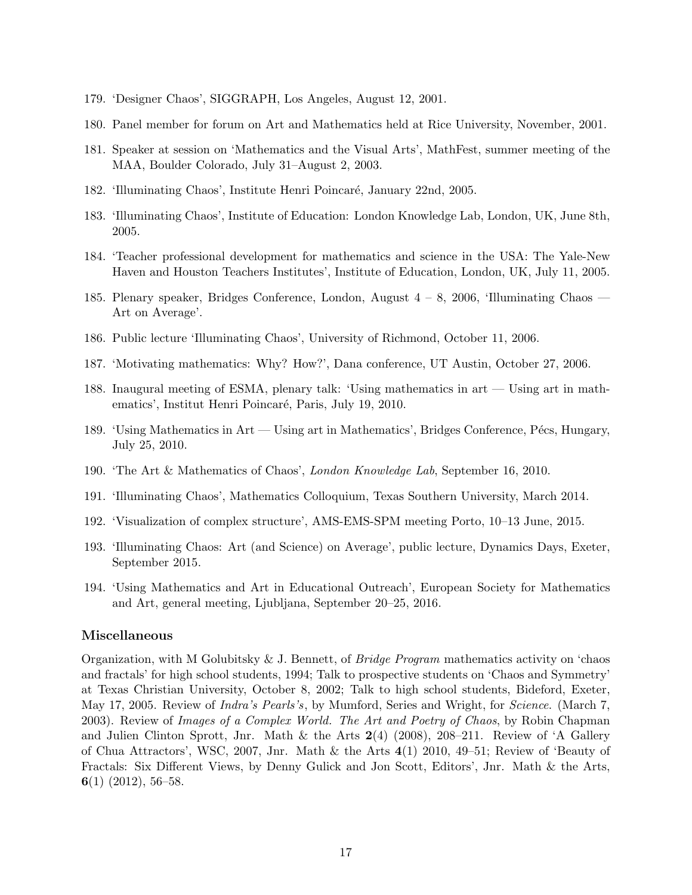- 179. 'Designer Chaos', SIGGRAPH, Los Angeles, August 12, 2001.
- 180. Panel member for forum on Art and Mathematics held at Rice University, November, 2001.
- 181. Speaker at session on 'Mathematics and the Visual Arts', MathFest, summer meeting of the MAA, Boulder Colorado, July 31–August 2, 2003.
- 182. 'Illuminating Chaos', Institute Henri Poincaré, January 22nd, 2005.
- 183. 'Illuminating Chaos', Institute of Education: London Knowledge Lab, London, UK, June 8th, 2005.
- 184. 'Teacher professional development for mathematics and science in the USA: The Yale-New Haven and Houston Teachers Institutes', Institute of Education, London, UK, July 11, 2005.
- 185. Plenary speaker, Bridges Conference, London, August 4 8, 2006, 'Illuminating Chaos Art on Average'.
- 186. Public lecture 'Illuminating Chaos', University of Richmond, October 11, 2006.
- 187. 'Motivating mathematics: Why? How?', Dana conference, UT Austin, October 27, 2006.
- 188. Inaugural meeting of ESMA, plenary talk: 'Using mathematics in art Using art in mathematics', Institut Henri Poincaré, Paris, July 19, 2010.
- 189. 'Using Mathematics in Art Using art in Mathematics', Bridges Conference, Pécs, Hungary, July 25, 2010.
- 190. 'The Art & Mathematics of Chaos', London Knowledge Lab, September 16, 2010.
- 191. 'Illuminating Chaos', Mathematics Colloquium, Texas Southern University, March 2014.
- 192. 'Visualization of complex structure', AMS-EMS-SPM meeting Porto, 10–13 June, 2015.
- 193. 'Illuminating Chaos: Art (and Science) on Average', public lecture, Dynamics Days, Exeter, September 2015.
- 194. 'Using Mathematics and Art in Educational Outreach', European Society for Mathematics and Art, general meeting, Ljubljana, September 20–25, 2016.

#### Miscellaneous

Organization, with M Golubitsky & J. Bennett, of Bridge Program mathematics activity on 'chaos and fractals' for high school students, 1994; Talk to prospective students on 'Chaos and Symmetry' at Texas Christian University, October 8, 2002; Talk to high school students, Bideford, Exeter, May 17, 2005. Review of *Indra's Pearls's*, by Mumford, Series and Wright, for *Science*. (March 7, 2003). Review of Images of a Complex World. The Art and Poetry of Chaos, by Robin Chapman and Julien Clinton Sprott, Jnr. Math & the Arts  $2(4)$  (2008), 208–211. Review of 'A Gallery of Chua Attractors', WSC, 2007, Jnr. Math & the Arts 4(1) 2010, 49–51; Review of 'Beauty of Fractals: Six Different Views, by Denny Gulick and Jon Scott, Editors', Jnr. Math & the Arts, 6(1) (2012), 56–58.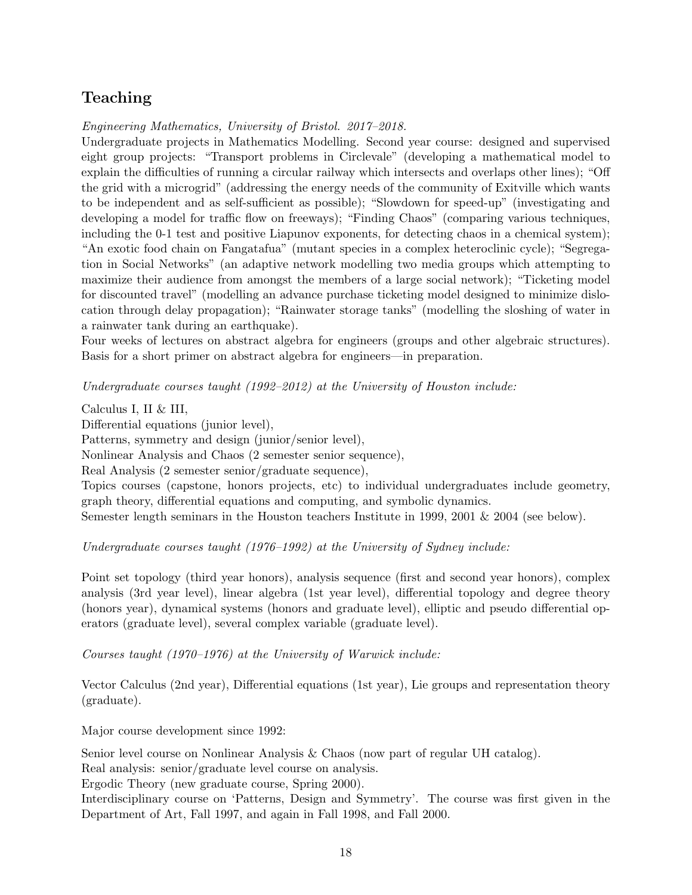# Teaching

Engineering Mathematics, University of Bristol. 2017–2018.

Undergraduate projects in Mathematics Modelling. Second year course: designed and supervised eight group projects: "Transport problems in Circlevale" (developing a mathematical model to explain the difficulties of running a circular railway which intersects and overlaps other lines); "Off the grid with a microgrid" (addressing the energy needs of the community of Exitville which wants to be independent and as self-sufficient as possible); "Slowdown for speed-up" (investigating and developing a model for traffic flow on freeways); "Finding Chaos" (comparing various techniques, including the 0-1 test and positive Liapunov exponents, for detecting chaos in a chemical system); "An exotic food chain on Fangatafua" (mutant species in a complex heteroclinic cycle); "Segregation in Social Networks" (an adaptive network modelling two media groups which attempting to maximize their audience from amongst the members of a large social network); "Ticketing model for discounted travel" (modelling an advance purchase ticketing model designed to minimize dislocation through delay propagation); "Rainwater storage tanks" (modelling the sloshing of water in a rainwater tank during an earthquake).

Four weeks of lectures on abstract algebra for engineers (groups and other algebraic structures). Basis for a short primer on abstract algebra for engineers—in preparation.

Undergraduate courses taught (1992–2012) at the University of Houston include:

Calculus I, II & III,

Differential equations (junior level),

Patterns, symmetry and design (junior/senior level),

Nonlinear Analysis and Chaos (2 semester senior sequence),

Real Analysis (2 semester senior/graduate sequence),

Topics courses (capstone, honors projects, etc) to individual undergraduates include geometry, graph theory, differential equations and computing, and symbolic dynamics.

Semester length seminars in the Houston teachers Institute in 1999, 2001 & 2004 (see below).

Undergraduate courses taught (1976–1992) at the University of Sydney include:

Point set topology (third year honors), analysis sequence (first and second year honors), complex analysis (3rd year level), linear algebra (1st year level), differential topology and degree theory (honors year), dynamical systems (honors and graduate level), elliptic and pseudo differential operators (graduate level), several complex variable (graduate level).

Courses taught (1970–1976) at the University of Warwick include:

Vector Calculus (2nd year), Differential equations (1st year), Lie groups and representation theory (graduate).

Major course development since 1992:

Senior level course on Nonlinear Analysis & Chaos (now part of regular UH catalog).

Real analysis: senior/graduate level course on analysis.

Ergodic Theory (new graduate course, Spring 2000).

Interdisciplinary course on 'Patterns, Design and Symmetry'. The course was first given in the Department of Art, Fall 1997, and again in Fall 1998, and Fall 2000.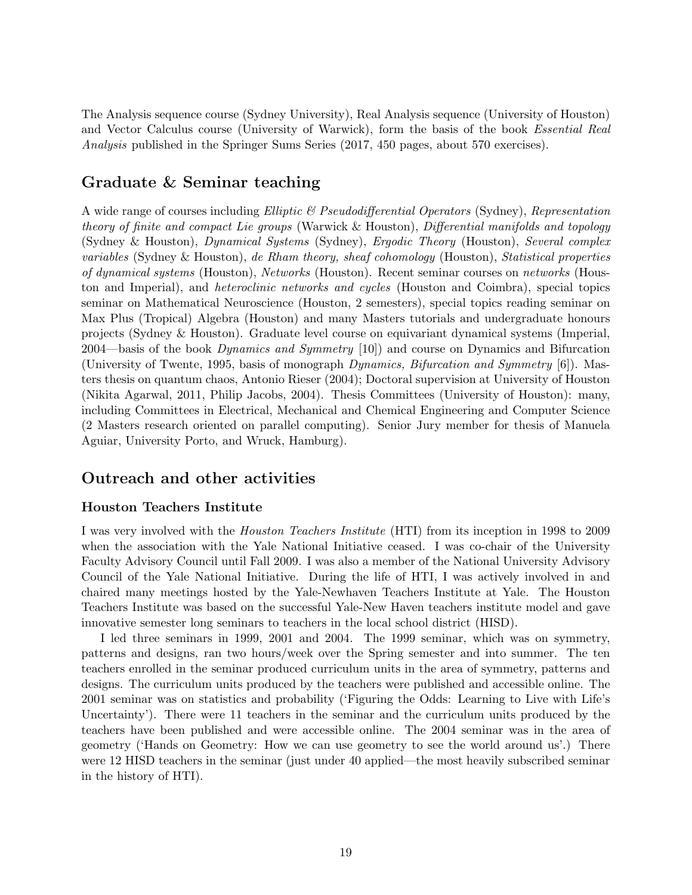The Analysis sequence course (Sydney University), Real Analysis sequence (University of Houston) and Vector Calculus course (University of Warwick), form the basis of the book Essential Real Analysis published in the Springer Sums Series (2017, 450 pages, about 570 exercises).

# Graduate & Seminar teaching

A wide range of courses including Elliptic & Pseudodifferential Operators (Sydney), Representation theory of finite and compact Lie groups (Warwick & Houston), Differential manifolds and topology (Sydney & Houston), Dynamical Systems (Sydney), Ergodic Theory (Houston), Several complex variables (Sydney & Houston), de Rham theory, sheaf cohomology (Houston), Statistical properties of dynamical systems (Houston), Networks (Houston). Recent seminar courses on networks (Houston and Imperial), and heteroclinic networks and cycles (Houston and Coimbra), special topics seminar on Mathematical Neuroscience (Houston, 2 semesters), special topics reading seminar on Max Plus (Tropical) Algebra (Houston) and many Masters tutorials and undergraduate honours projects (Sydney & Houston). Graduate level course on equivariant dynamical systems (Imperial, 2004—basis of the book Dynamics and Symmetry  $[10]$  and course on Dynamics and Bifurcation (University of Twente, 1995, basis of monograph Dynamics, Bifurcation and Symmetry [6]). Masters thesis on quantum chaos, Antonio Rieser (2004); Doctoral supervision at University of Houston (Nikita Agarwal, 2011, Philip Jacobs, 2004). Thesis Committees (University of Houston): many, including Committees in Electrical, Mechanical and Chemical Engineering and Computer Science (2 Masters research oriented on parallel computing). Senior Jury member for thesis of Manuela Aguiar, University Porto, and Wruck, Hamburg).

# Outreach and other activities

### Houston Teachers Institute

I was very involved with the Houston Teachers Institute (HTI) from its inception in 1998 to 2009 when the association with the Yale National Initiative ceased. I was co-chair of the University Faculty Advisory Council until Fall 2009. I was also a member of the National University Advisory Council of the Yale National Initiative. During the life of HTI, I was actively involved in and chaired many meetings hosted by the Yale-Newhaven Teachers Institute at Yale. The Houston Teachers Institute was based on the successful Yale-New Haven teachers institute model and gave innovative semester long seminars to teachers in the local school district (HISD).

I led three seminars in 1999, 2001 and 2004. The 1999 seminar, which was on symmetry, patterns and designs, ran two hours/week over the Spring semester and into summer. The ten teachers enrolled in the seminar produced curriculum units in the area of symmetry, patterns and designs. The curriculum units produced by the teachers were published and accessible online. The 2001 seminar was on statistics and probability ('Figuring the Odds: Learning to Live with Life's Uncertainty'). There were 11 teachers in the seminar and the curriculum units produced by the teachers have been published and were accessible online. The 2004 seminar was in the area of geometry ('Hands on Geometry: How we can use geometry to see the world around us'.) There were 12 HISD teachers in the seminar (just under 40 applied—the most heavily subscribed seminar in the history of HTI).